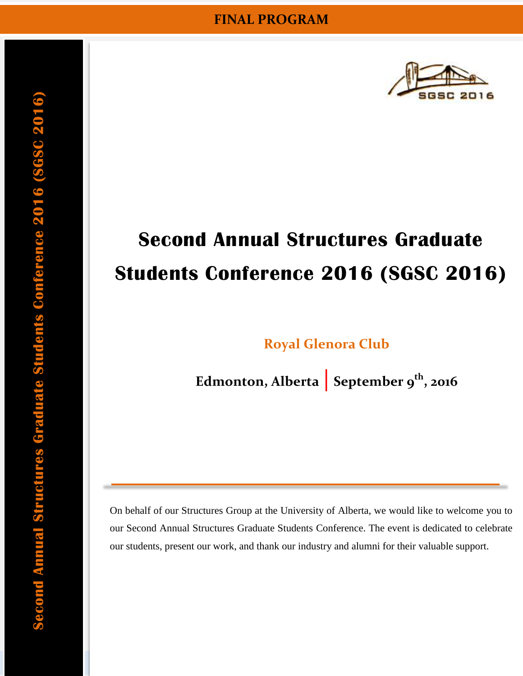

# **Second Annual Structures Graduate Students Conference 2016 (SGSC 2016)**

**[Royal Glenora Club](http://royalglenora.com/Home.aspx)**

**Edmonton, Alberta | September 9th, 2016**

On behalf of our Structures Group at the University of Alberta, we would like to welcome you to our Second Annual Structures Graduate Students Conference. The event is dedicated to celebrate our students, present our work, and thank our industry and alumni for their valuable support.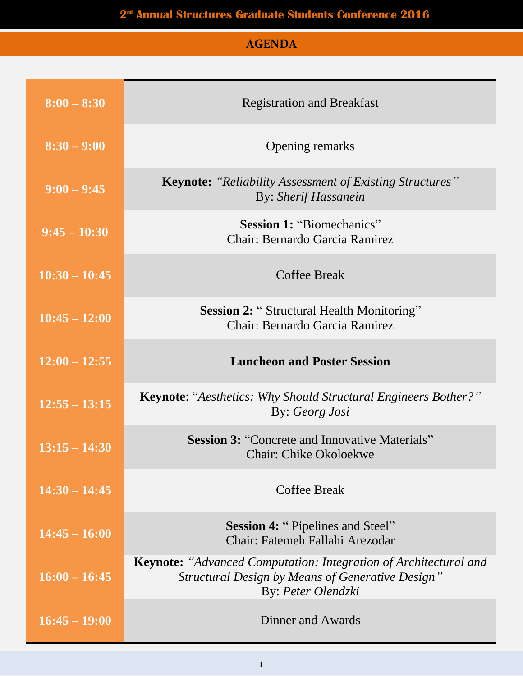### 2<sup>d</sup> Annual Structures Graduate Students Conference 2016

## **AGENDA**

| $8:00 - 8:30$   | <b>Registration and Breakfast</b>                                                                                                                 |
|-----------------|---------------------------------------------------------------------------------------------------------------------------------------------------|
| $8:30 - 9:00$   | <b>Opening remarks</b>                                                                                                                            |
| $9:00 - 9:45$   | <b>Keynote:</b> "Reliability Assessment of Existing Structures"<br>By: Sherif Hassanein                                                           |
| $9:45 - 10:30$  | <b>Session 1: "Biomechanics"</b><br>Chair: Bernardo Garcia Ramirez                                                                                |
| $10:30 - 10:45$ | <b>Coffee Break</b>                                                                                                                               |
| $10:45 - 12:00$ | <b>Session 2: "Structural Health Monitoring"</b><br>Chair: Bernardo Garcia Ramirez                                                                |
| $12:00 - 12:55$ | <b>Luncheon and Poster Session</b>                                                                                                                |
|                 |                                                                                                                                                   |
| $12:55 - 13:15$ | <b>Keynote: "Aesthetics: Why Should Structural Engineers Bother?"</b><br>By: Georg Josi                                                           |
| $13:15 - 14:30$ | <b>Session 3: "Concrete and Innovative Materials"</b><br><b>Chair: Chike Okoloekwe</b>                                                            |
| $14:30 - 14:45$ | <b>Coffee Break</b>                                                                                                                               |
| $14:45 - 16:00$ | <b>Session 4: "Pipelines and Steel"</b><br>Chair: Fatemeh Fallahi Arezodar                                                                        |
| $16:00 - 16:45$ | <b>Keynote:</b> "Advanced Computation: Integration of Architectural and<br>Structural Design by Means of Generative Design"<br>By: Peter Olendzki |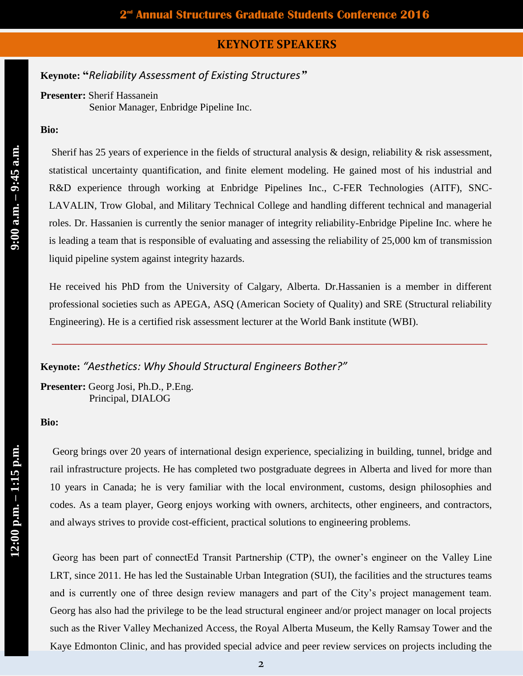#### **KEYNOTE SPEAKERS**

## **Keynote: "***Reliability Assessment of Existing Structures"*

#### **Presenter:** Sherif Hassanein

Senior Manager, Enbridge Pipeline Inc.

#### **Bio:**

Sherif has 25 years of experience in the fields of structural analysis & design, reliability & risk assessment, statistical uncertainty quantification, and finite element modeling. He gained most of his industrial and R&D experience through working at Enbridge Pipelines Inc., C-FER Technologies (AITF), SNC-LAVALIN, Trow Global, and Military Technical College and handling different technical and managerial roles. Dr. Hassanien is currently the senior manager of integrity reliability-Enbridge Pipeline Inc. where he is leading a team that is responsible of evaluating and assessing the reliability of 25,000 km of transmission liquid pipeline system against integrity hazards.

He received his PhD from the University of Calgary, Alberta. Dr.Hassanien is a member in different professional societies such as APEGA, ASQ (American Society of Quality) and SRE (Structural reliability Engineering). He is a certified risk assessment lecturer at the World Bank institute (WBI).

#### **Keynote:** *"Aesthetics: Why Should Structural Engineers Bother?"*

**Presenter:** Georg Josi, Ph.D., P.Eng. Principal, DIALOG

#### **Bio:**

Georg brings over 20 years of international design experience, specializing in building, tunnel, bridge and rail infrastructure projects. He has completed two postgraduate degrees in Alberta and lived for more than 10 years in Canada; he is very familiar with the local environment, customs, design philosophies and codes. As a team player, Georg enjoys working with owners, architects, other engineers, and contractors, and always strives to provide cost-efficient, practical solutions to engineering problems.

Georg has been part of connectEd Transit Partnership (CTP), the owner's engineer on the Valley Line LRT, since 2011. He has led the Sustainable Urban Integration (SUI), the facilities and the structures teams and is currently one of three design review managers and part of the City's project management team. Georg has also had the privilege to be the lead structural engineer and/or project manager on local projects such as the River Valley Mechanized Access, the Royal Alberta Museum, the Kelly Ramsay Tower and the Kaye Edmonton Clinic, and has provided special advice and peer review services on projects including the

**12:00**

**p.m.** 

**– 1:15 p.m.**